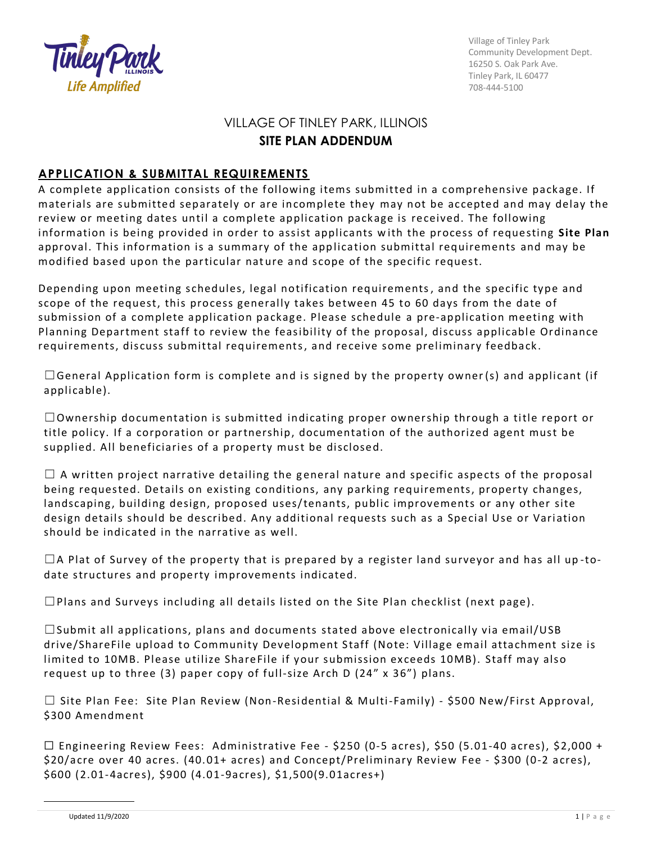

Village of Tinley Park Community Development Dept. 16250 S. Oak Park Ave. Tinley Park, IL 60477 708-444-5100

## VILLAGE OF TINLEY PARK, ILLINOIS **SITE PLAN ADDENDUM**

## **APPLICATION & SUBMITTAL REQUIREMENTS**

A complete application consists of the following items submitted in a comprehensive package. If materials are submitted separately or are incomplete they may not be accepted and may delay the review or meeting dates until a complete application package is received. The following information is being provided in order to assist applicants w ith the process of requesting **Site Plan** approval. This information is a summary of the application submittal requirements and may be modified based upon the particular nature and scope of the specific request.

Depending upon meeting schedules, legal notification requirements, and the specific type and scope of the request, this process generally takes between 45 to 60 days from the date of submission of a complete application package. Please schedule a pre-application meeting with Planning Department staff to review the feasibility of the proposal, discuss applicable Ordinance requirements, discuss submittal requirements, and receive some preliminary feedback .

 $\Box$ General Application form is complete and is signed by the property owner(s) and applicant (if applicable).

 $\Box$ Ownership documentation is submitted indicating proper ownership through a title report or title policy. If a corporation or partnership, documentation of the authorized agent must be supplied. All beneficiaries of a property must be disclosed.

 $\Box$  A written project narrative detailing the general nature and specific aspects of the proposal being requested. Details on existing conditions, any parking requirements, property changes, landscaping, building design, proposed uses/tenants, public improvements or any other site design details should be described. Any additional requests such as a Special Use or Variation should be indicated in the narrative as well.

 $\Box$ A Plat of Survey of the property that is prepared by a register land surveyor and has all up-todate structures and property improvements indicated.

 $\Box$ Plans and Surveys including all details listed on the Site Plan checklist (next page).

 $\Box$ Submit all applications, plans and documents stated above electronically via email/USB drive/ShareFile upload to Community Development Staff (Note: Village email attachment size is limited to 10MB. Please utilize ShareFile if your submission exceeds 10MB). Staff may also request up to three (3) paper copy of full-size Arch D (24" x 36") plans.

☐ Site Plan Fee: Site Plan Review (Non-Resi dential & Multi-Family) - \$500 New/First Approval, \$300 Amendment

☐ Engineering Review Fees: Administrative Fee - \$250 (0-5 acres), \$50 (5.01-40 acres), \$2,000 + \$20/acre over 40 acres. (40. 01+ acres) and C oncept/Preliminary Review Fee - \$300 (0-2 acres), \$600 (2.01-4acres), \$900 (4.01-9acres), \$1,500(9.01acres+)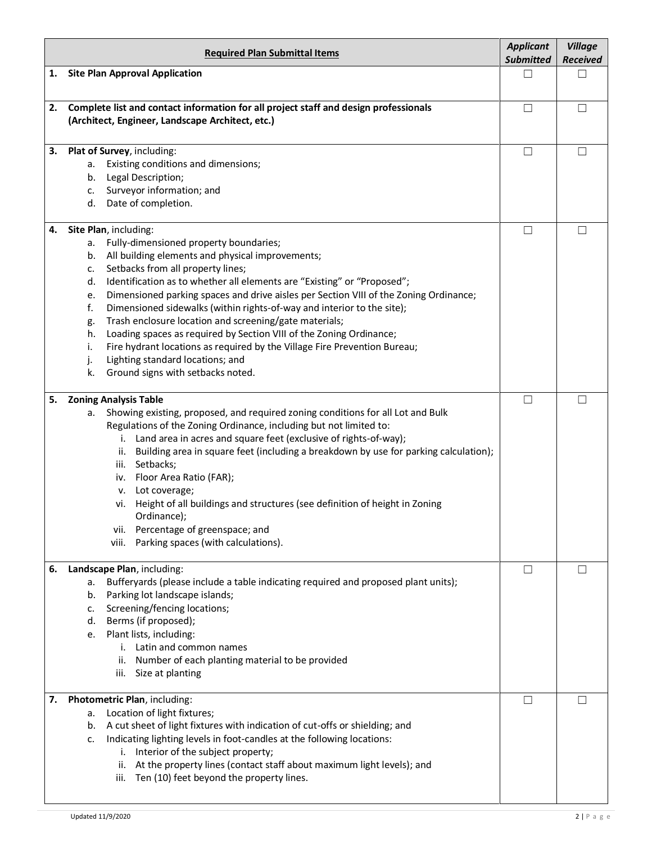|    | <b>Required Plan Submittal Items</b>                                                                                                                                                                                                                                                                                                                                                                                                                                                                                                                                                                                                                                                                                                                            | <b>Applicant</b><br><b>Submitted</b> | <b>Village</b><br><b>Received</b> |
|----|-----------------------------------------------------------------------------------------------------------------------------------------------------------------------------------------------------------------------------------------------------------------------------------------------------------------------------------------------------------------------------------------------------------------------------------------------------------------------------------------------------------------------------------------------------------------------------------------------------------------------------------------------------------------------------------------------------------------------------------------------------------------|--------------------------------------|-----------------------------------|
| 1. | <b>Site Plan Approval Application</b>                                                                                                                                                                                                                                                                                                                                                                                                                                                                                                                                                                                                                                                                                                                           | П                                    | П                                 |
| 2. | Complete list and contact information for all project staff and design professionals<br>(Architect, Engineer, Landscape Architect, etc.)                                                                                                                                                                                                                                                                                                                                                                                                                                                                                                                                                                                                                        | $\Box$                               | П                                 |
| 3. | Plat of Survey, including:<br>Existing conditions and dimensions;<br>а.<br>Legal Description;<br>b.<br>Surveyor information; and<br>c.<br>Date of completion.<br>d.                                                                                                                                                                                                                                                                                                                                                                                                                                                                                                                                                                                             | $\Box$                               | П                                 |
| 4. | Site Plan, including:<br>Fully-dimensioned property boundaries;<br>a.<br>All building elements and physical improvements;<br>b.<br>Setbacks from all property lines;<br>c.<br>Identification as to whether all elements are "Existing" or "Proposed";<br>d.<br>Dimensioned parking spaces and drive aisles per Section VIII of the Zoning Ordinance;<br>е.<br>f.<br>Dimensioned sidewalks (within rights-of-way and interior to the site);<br>Trash enclosure location and screening/gate materials;<br>g.<br>Loading spaces as required by Section VIII of the Zoning Ordinance;<br>h.<br>Fire hydrant locations as required by the Village Fire Prevention Bureau;<br>i.<br>Lighting standard locations; and<br>j.<br>k.<br>Ground signs with setbacks noted. | $\Box$                               | П                                 |
| 5. | <b>Zoning Analysis Table</b><br>Showing existing, proposed, and required zoning conditions for all Lot and Bulk<br>а.<br>Regulations of the Zoning Ordinance, including but not limited to:<br>Land area in acres and square feet (exclusive of rights-of-way);<br>i.<br>Building area in square feet (including a breakdown by use for parking calculation);<br>ii.<br>Setbacks;<br>iii.<br>Floor Area Ratio (FAR);<br>iv.<br>v. Lot coverage;<br>vi. Height of all buildings and structures (see definition of height in Zoning<br>Ordinance);<br>vii. Percentage of greenspace; and<br>Parking spaces (with calculations).<br>viii.                                                                                                                          | $\Box$                               | $\perp$                           |
| 6. | Landscape Plan, including:<br>Bufferyards (please include a table indicating required and proposed plant units);<br>a.<br>Parking lot landscape islands;<br>b.<br>Screening/fencing locations;<br>c.<br>Berms (if proposed);<br>d.<br>Plant lists, including:<br>e.<br>i. Latin and common names<br>Number of each planting material to be provided<br>ii.<br>Size at planting<br>iii.                                                                                                                                                                                                                                                                                                                                                                          | □                                    | $\perp$                           |
| 7. | Photometric Plan, including:<br>Location of light fixtures;<br>a.<br>A cut sheet of light fixtures with indication of cut-offs or shielding; and<br>b.<br>Indicating lighting levels in foot-candles at the following locations:<br>c.<br>Interior of the subject property;<br>i.<br>ii. At the property lines (contact staff about maximum light levels); and<br>Ten (10) feet beyond the property lines.<br>iii.                                                                                                                                                                                                                                                                                                                                              | □                                    | n l                               |